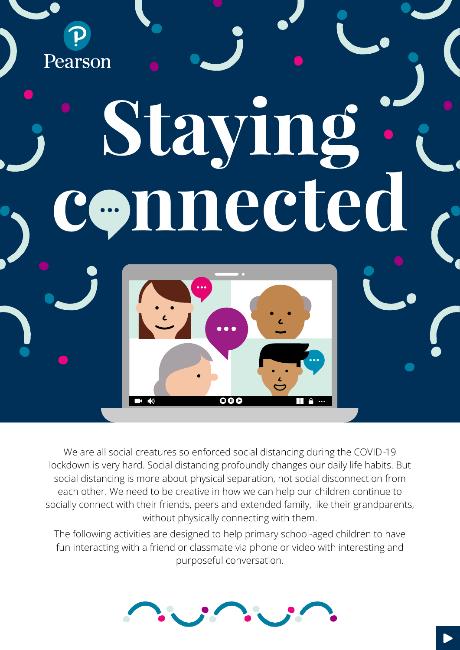Pearson **Staying nnected** 

We are all social creatures so enforced social distancing during the COVID-19 lockdown is very hard. Social distancing profoundly changes our daily life habits. But social distancing is more about physical separation, not social disconnection from each other. We need to be creative in how we can help our children continue to socially connect with their friends, peers and extended family, like their grandparents, without physically connecting with them.

 $\overline{\mathbf{o}}$ 

The following activities are designed to help primary school-aged children to have fun interacting with a friend or classmate via phone or video with interesting and purposeful conversation.

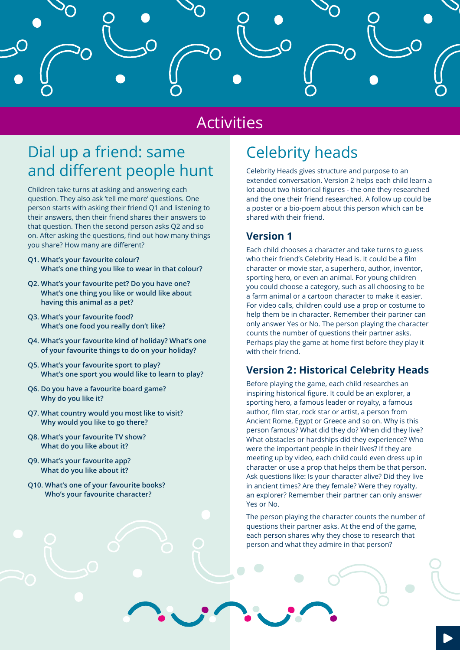

### Activities

## Dial up a friend: same and different people hunt

Children take turns at asking and answering each question. They also ask 'tell me more' questions. One person starts with asking their friend Q1 and listening to their answers, then their friend shares their answers to that question. Then the second person asks Q2 and so on. After asking the questions, find out how many things you share? How many are different?

- **Q1. What's your favourite colour? What's one thing you like to wear in that colour?**
- **Q2. What's your favourite pet? Do you have one? What's one thing you like or would like about having this animal as a pet?**
- **Q3. What's your favourite food? What's one food you really don't like?**
- **Q4. What's your favourite kind of holiday? What's one of your favourite things to do on your holiday?**
- **Q5. What's your favourite sport to play? What's one sport you would like to learn to play?**
- **Q6. Do you have a favourite board game? Why do you like it?**
- **Q7. What country would you most like to visit? Why would you like to go there?**
- **Q8. What's your favourite TV show? What do you like about it?**
- **Q9. What's your favourite app? What do you like about it?**
- **Q10. What's one of your favourite books? Who's your favourite character?**

### Celebrity heads

Celebrity Heads gives structure and purpose to an extended conversation. Version 2 helps each child learn a lot about two historical figures - the one they researched and the one their friend researched. A follow up could be a poster or a bio-poem about this person which can be shared with their friend.

#### **Version 1**

Each child chooses a character and take turns to guess who their friend's Celebrity Head is. It could be a film character or movie star, a superhero, author, inventor, sporting hero, or even an animal. For young children you could choose a category, such as all choosing to be a farm animal or a cartoon character to make it easier. For video calls, children could use a prop or costume to help them be in character. Remember their partner can only answer Yes or No. The person playing the character counts the number of questions their partner asks. Perhaps play the game at home first before they play it with their friend.

#### **Version 2: Historical Celebrity Heads**

Before playing the game, each child researches an inspiring historical figure. It could be an explorer, a sporting hero, a famous leader or royalty, a famous author, film star, rock star or artist, a person from Ancient Rome, Egypt or Greece and so on. Why is this person famous? What did they do? When did they live? What obstacles or hardships did they experience? Who were the important people in their lives? If they are meeting up by video, each child could even dress up in character or use a prop that helps them be that person. Ask questions like: Is your character alive? Did they live in ancient times? Are they female? Were they royalty, an explorer? Remember their partner can only answer Yes or No.

The person playing the character counts the number of questions their partner asks. At the end of the game, each person shares why they chose to research that person and what they admire in that person?